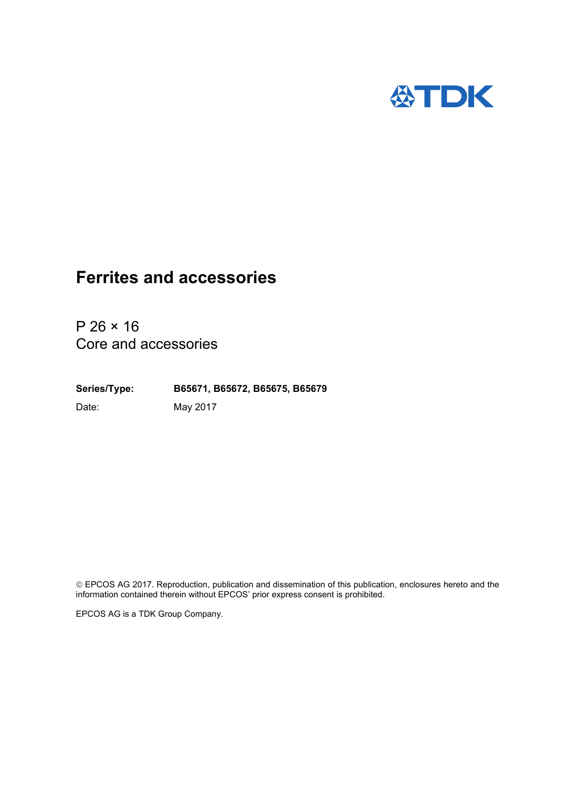

 $P 26 \times 16$ Core and accessories

**Series/Type: B65671, B65672, B65675, B65679** Date: May 2017

 EPCOS AG 2017. Reproduction, publication and dissemination of this publication, enclosures hereto and the information contained therein without EPCOS' prior express consent is prohibited.

EPCOS AG is a TDK Group Company.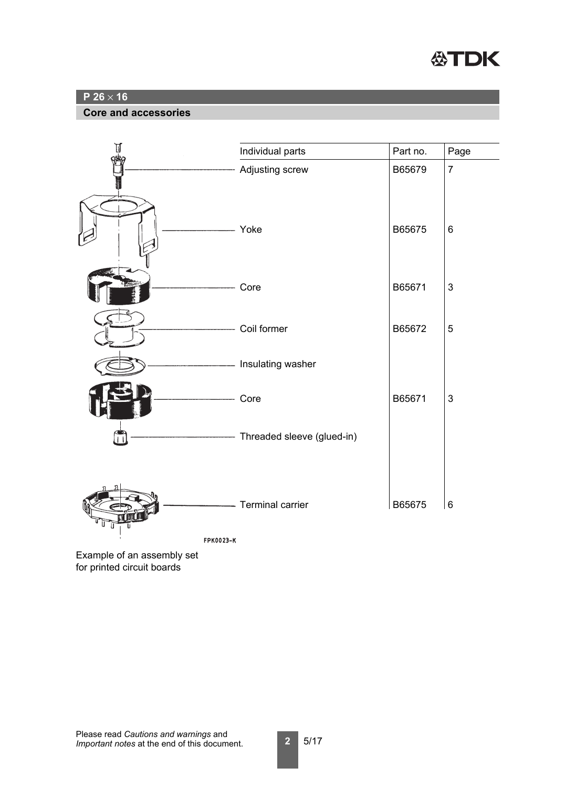

#### **Core and accessories**



**FPK0023-K** 

Example of an assembly set for printed circuit boards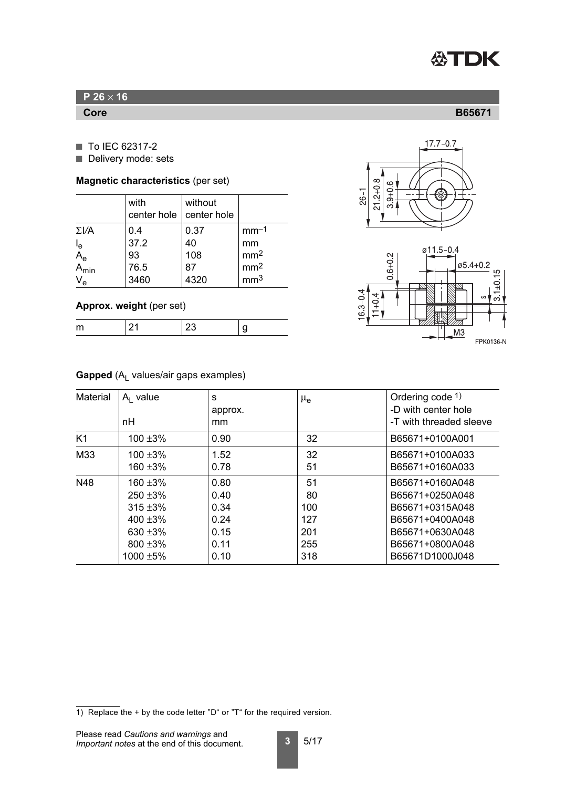

- To IEC 62317-2
- Delivery mode: sets

#### **Magnetic characteristics** (per set)

|                                        | with<br>center hole               | without<br>center hole          |                                                                       |
|----------------------------------------|-----------------------------------|---------------------------------|-----------------------------------------------------------------------|
| $\Sigma V$ A<br>$A_e$<br>Ae<br>$V_{e}$ | 0.4<br>37.2<br>93<br>76.5<br>3460 | 0.37<br>40<br>108<br>87<br>4320 | $mm-1$<br>mm<br>mm <sup>2</sup><br>mm <sup>2</sup><br>mm <sup>3</sup> |

### **Approx. weight** (per set)

## **Gapped** (A<sub>L</sub> values/air gaps examples)

| Material | $A1$ value<br>nH | S<br>approx.<br>mm | $\mu_{\rm e}$ | Ordering code $1$ )<br>-D with center hole<br>-T with threaded sleeve |
|----------|------------------|--------------------|---------------|-----------------------------------------------------------------------|
| K1       | $100 + 3%$       | 0.90               | 32            | B65671+0100A001                                                       |
| M33      | $100 + 3%$       | 1.52               | 32            | B65671+0100A033                                                       |
|          | $160 + 3%$       | 0.78               | 51            | B65671+0160A033                                                       |
| N48      | 160 ±3%          | 0.80               | 51            | B65671+0160A048                                                       |
|          | $250 + 3\%$      | 0.40               | 80            | B65671+0250A048                                                       |
|          | $315 + 3\%$      | 0.34               | 100           | B65671+0315A048                                                       |
|          | 400 $\pm 3\%$    | 0.24               | 127           | B65671+0400A048                                                       |
|          | 630 $\pm 3\%$    | 0.15               | 201           | B65671+0630A048                                                       |
|          | $800 + 3\%$      | 0.11               | 255           | B65671+0800A048                                                       |
|          | 1000 $\pm$ 5%    | 0.10               | 318           | B65671D1000J048                                                       |





<span id="page-2-0"></span>**Core B65671**

<sup>1)</sup> Replace the + by the code letter "D" or "T" for the required version.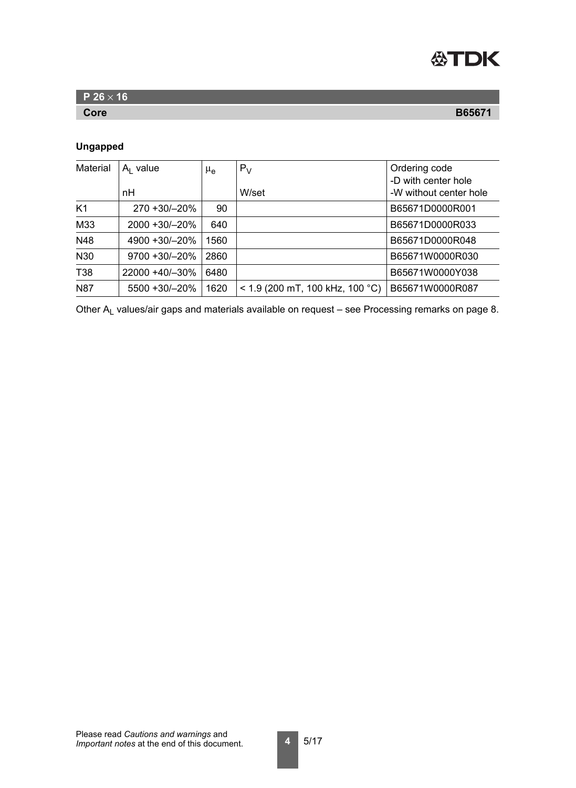

| P 26 $\times$ 16 |               |
|------------------|---------------|
| Core             | <b>B65671</b> |

### **Ungapped**

| <b>Material</b> | $A1$ value          | $\mu_{\mathbf{e}}$ | $P_V$                             | Ordering code<br>-D with center hole |
|-----------------|---------------------|--------------------|-----------------------------------|--------------------------------------|
|                 | nH                  |                    | W/set                             | -W without center hole               |
| K <sub>1</sub>  | 270 +30/-20%        | 90                 |                                   | B65671D0000R001                      |
| M33             | 2000 +30/-20%       | 640                |                                   | B65671D0000R033                      |
| N48             | 4900 +30/-20%       | 1560               |                                   | B65671D0000R048                      |
| N30             | $9700 + 30/ - 20\%$ | 2860               |                                   | B65671W0000R030                      |
| T38             | 22000 +40/-30%      | 6480               |                                   | B65671W0000Y038                      |
| <b>N87</b>      | 5500 +30/-20%       | 1620               | $<$ 1.9 (200 mT, 100 kHz, 100 °C) | B65671W0000R087                      |

Other  $A_L$  values/air gaps and materials available on request – see [Processing remarks on page 8.](#page-7-0)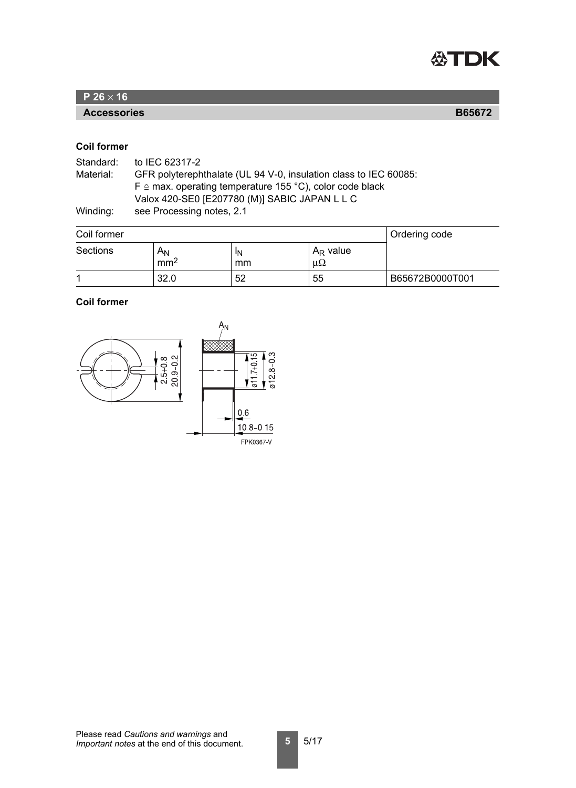

**Accessories B65672**

### <span id="page-4-0"></span>**Coil former**

| Standard: | to IEC 62317-2                                                      |
|-----------|---------------------------------------------------------------------|
| Material: | GFR polyterephthalate (UL 94 V-0, insulation class to IEC 60085:    |
|           | $F \triangleq$ max. operating temperature 155 °C), color code black |
|           | Valox 420-SE0 [E207780 (M)] SABIC JAPAN L L C                       |
| Winding:  | see Processing notes, 2.1                                           |

| Coil former     |                          |          |                            | <b>Ordering code</b> |
|-----------------|--------------------------|----------|----------------------------|----------------------|
| <b>Sections</b> | $A_N$<br>mm <sup>2</sup> | ١N<br>mm | $A_R$ value<br>$\mu\Omega$ |                      |
|                 | 32.0                     | 52       | 55                         | B65672B0000T001      |

### **Coil former**

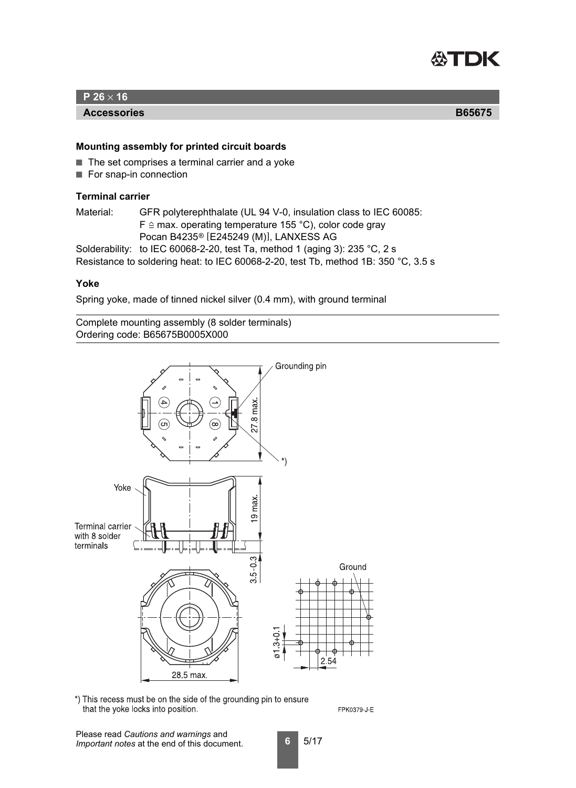

#### **Accessories B65675**

**Mounting assembly for printed circuit boards**

- The set comprises a terminal carrier and a yoke
- For snap-in connection

### <span id="page-5-1"></span>**Terminal carrier**

Material: GFR polyterephthalate (UL 94 V-0, insulation class to IEC 60085:  $F \triangleq$  max. operating temperature 155 °C), color code gray Pocan B4235® [E245249 (M)], LANXESS AG

Solderability: to IEC 60068-2-20, test Ta, method 1 (aging 3): 235 °C, 2 s

Resistance to soldering heat: to IEC 60068-2-20, test Tb, method 1B: 350 °C, 3.5 s

#### <span id="page-5-0"></span>**Yoke**

Spring yoke, made of tinned nickel silver (0.4 mm), with ground terminal

Complete mounting assembly (8 solder terminals) Ordering code: B65675B0005X000



\*) This recess must be on the side of the grounding pin to ensure that the yoke locks into position.

FPK0379-J-E

Please read *Cautions and warnings* and *Important notes* at the end of this document.

**6** 5/17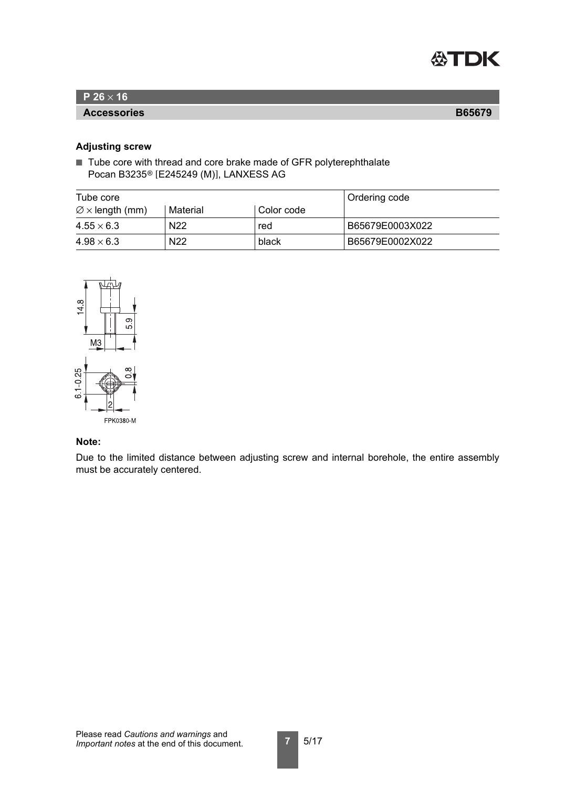

#### **Accessories B65679**

#### <span id="page-6-0"></span>**Adjusting screw**

■ Tube core with thread and core brake made of GFR polyterephthalate Pocan B3235® [E245249 (M)], LANXESS AG

| Tube core                   |                 |            | <b>Ordering code</b> |
|-----------------------------|-----------------|------------|----------------------|
| $\varnothing$ x length (mm) | Material        | Color code |                      |
| $4.55 \times 6.3$           | N <sub>22</sub> | red        | B65679E0003X022      |
| $4.98 \times 6.3$           | N <sub>22</sub> | black      | B65679E0002X022      |



### **Note:**

Due to the limited distance between adjusting screw and internal borehole, the entire assembly must be accurately centered.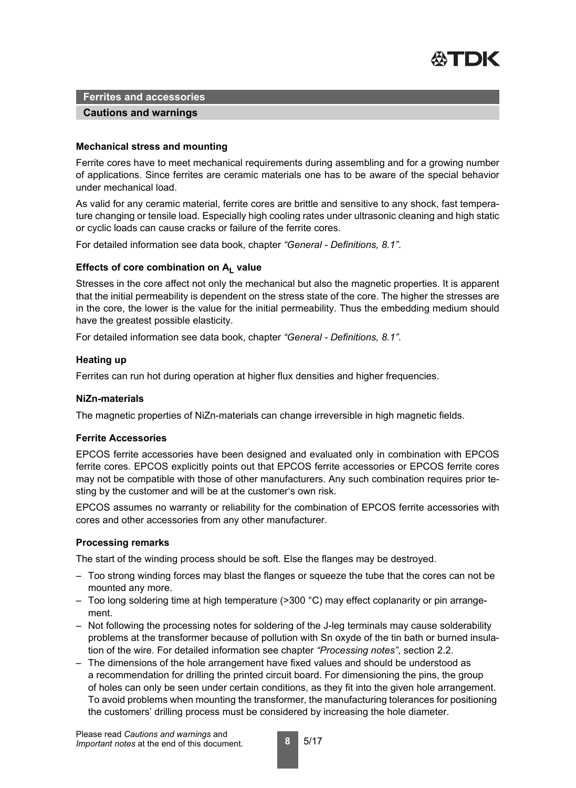

#### **Cautions and warnings**

#### **Mechanical stress and mounting**

Ferrite cores have to meet mechanical requirements during assembling and for a growing number of applications. Since ferrites are ceramic materials one has to be aware of the special behavior under mechanical load.

As valid for any ceramic material, ferrite cores are brittle and sensitive to any shock, fast temperature changing or tensile load. Especially high cooling rates under ultrasonic cleaning and high static or cyclic loads can cause cracks or failure of the ferrite cores.

For detailed information see data book, chapter *"General - Definitions, 8.1"*.

#### Effects of core combination on A<sub>L</sub> value

Stresses in the core affect not only the mechanical but also the magnetic properties. It is apparent that the initial permeability is dependent on the stress state of the core. The higher the stresses are in the core, the lower is the value for the initial permeability. Thus the embedding medium should have the greatest possible elasticity.

For detailed information see data book, chapter *"General - Definitions, 8.1"*.

#### **Heating up**

Ferrites can run hot during operation at higher flux densities and higher frequencies.

#### **NiZn-materials**

The magnetic properties of NiZn-materials can change irreversible in high magnetic fields.

#### **Ferrite Accessories**

EPCOS ferrite accessories have been designed and evaluated only in combination with EPCOS ferrite cores. EPCOS explicitly points out that EPCOS ferrite accessories or EPCOS ferrite cores may not be compatible with those of other manufacturers. Any such combination requires prior testing by the customer and will be at the customer's own risk.

EPCOS assumes no warranty or reliability for the combination of EPCOS ferrite accessories with cores and other accessories from any other manufacturer.

#### <span id="page-7-0"></span>**Processing remarks**

The start of the winding process should be soft. Else the flanges may be destroyed.

- Too strong winding forces may blast the flanges or squeeze the tube that the cores can not be mounted any more.
- Too long soldering time at high temperature (>300 °C) may effect coplanarity or pin arrangement.
- Not following the processing notes for soldering of the J-leg terminals may cause solderability problems at the transformer because of pollution with Sn oxyde of the tin bath or burned insulation of the wire. For detailed information see chapter *"Processing notes"*, section 2.2.
- The dimensions of the hole arrangement have fixed values and should be understood as a recommendation for drilling the printed circuit board. For dimensioning the pins, the group of holes can only be seen under certain conditions, as they fit into the given hole arrangement. To avoid problems when mounting the transformer, the manufacturing tolerances for positioning the customers' drilling process must be considered by increasing the hole diameter.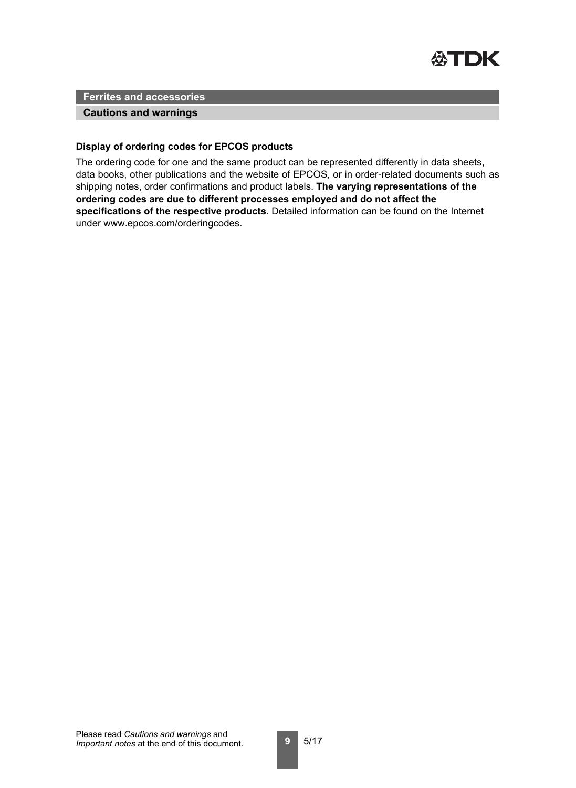

#### **Cautions and warnings**

#### **Display of ordering codes for EPCOS products**

The ordering code for one and the same product can be represented differently in data sheets, data books, other publications and the website of EPCOS, or in order-related documents such as shipping notes, order confirmations and product labels. **The varying representations of the ordering codes are due to different processes employed and do not affect the specifications of the respective products**. Detailed information can be found on the Internet under www.epcos.com/orderingcodes.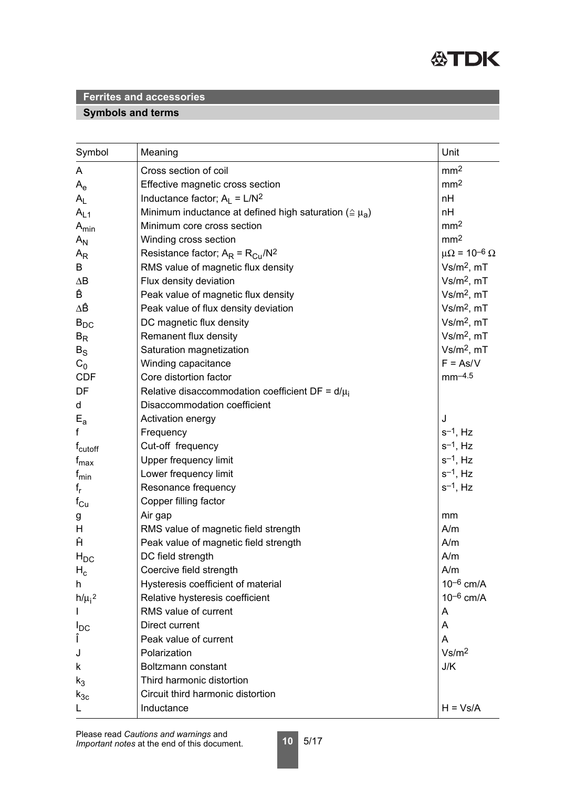

# **Symbols and terms**

| Symbol              | Meaning                                                           | Unit                         |
|---------------------|-------------------------------------------------------------------|------------------------------|
| A                   | Cross section of coil                                             | mm <sup>2</sup>              |
| $A_e$               | Effective magnetic cross section                                  | mm <sup>2</sup>              |
| $A_L$               | Inductance factor; $A_1 = L/N^2$                                  | nH                           |
| $A_{L1}$            | Minimum inductance at defined high saturation ( $\approx \mu_a$ ) | nH                           |
| $A_{min}$           | Minimum core cross section                                        | mm <sup>2</sup>              |
| $A_{N}$             | Winding cross section                                             | mm <sup>2</sup>              |
| $A_{R}$             | Resistance factor; $A_R = R_{Cu}/N^2$                             | $\mu\Omega = 10^{-6} \Omega$ |
| B                   | RMS value of magnetic flux density                                | $Vs/m2$ , mT                 |
| $\Delta B$          | Flux density deviation                                            | $Vs/m2$ , mT                 |
| Ê                   | Peak value of magnetic flux density                               | $Vs/m2$ , mT                 |
| ΔÊ                  | Peak value of flux density deviation                              | $Vs/m2$ , mT                 |
| $B_{DC}$            | DC magnetic flux density                                          | $Vs/m2$ , mT                 |
| $B_R$               | Remanent flux density                                             | $Vs/m2$ , mT                 |
| $B_{\rm S}$         | Saturation magnetization                                          | $Vs/m2$ , mT                 |
| $C_0$               | Winding capacitance                                               | $F = As/V$                   |
| <b>CDF</b>          | Core distortion factor                                            | $mm-4.5$                     |
| DF                  | Relative disaccommodation coefficient DF = $d/\mu_i$              |                              |
| d                   | Disaccommodation coefficient                                      |                              |
| $E_{a}$             | Activation energy                                                 | J                            |
| f                   | Frequency                                                         | $s^{-1}$ , Hz                |
| f <sub>cutoff</sub> | Cut-off frequency                                                 | $s^{-1}$ , Hz                |
| $f_{\text{max}}$    | Upper frequency limit                                             | $s^{-1}$ , Hz                |
| $f_{min}$           | Lower frequency limit                                             | $s^{-1}$ , Hz                |
| $f_r$               | Resonance frequency                                               | $s^{-1}$ , Hz                |
| $f_{\rm Cu}$        | Copper filling factor                                             |                              |
| g                   | Air gap                                                           | mm                           |
| H                   | RMS value of magnetic field strength                              | A/m                          |
| Ĥ                   | Peak value of magnetic field strength                             | A/m                          |
| $H_{DC}$            | DC field strength                                                 | A/m                          |
| $H_c$               | Coercive field strength                                           | A/m                          |
| h.                  | Hysteresis coefficient of material                                | $10^{-6}$ cm/A               |
| $h/\mu_i^2$         | Relative hysteresis coefficient                                   | $10^{-6}$ cm/A               |
|                     | RMS value of current                                              | A                            |
| $I_{DC}$            | Direct current                                                    | A                            |
| Î                   | Peak value of current                                             | A                            |
| J                   | Polarization                                                      | Vs/m <sup>2</sup>            |
| k                   | Boltzmann constant                                                | J/K                          |
| $k_3$               | Third harmonic distortion                                         |                              |
| $k_{3c}$            | Circuit third harmonic distortion                                 |                              |
| L                   | Inductance                                                        | $H = Vs/A$                   |

**10** 5/17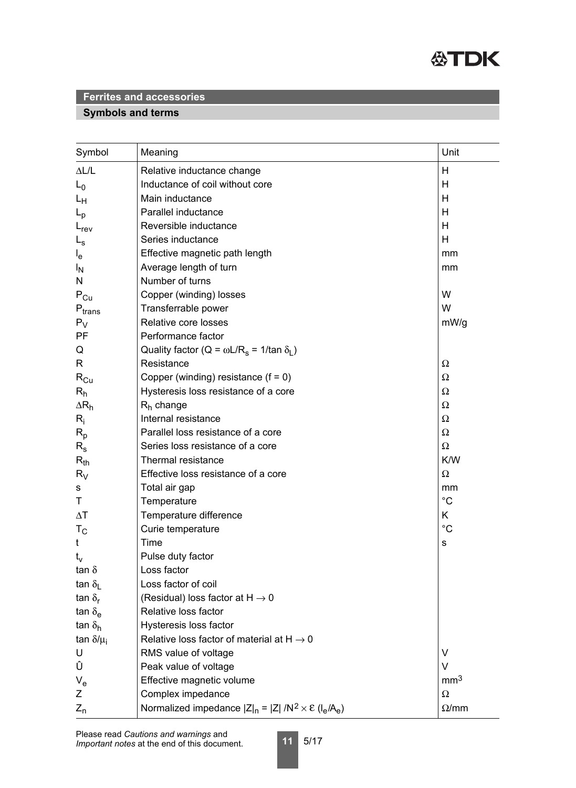

# **Symbols and terms**

| Symbol                        | Meaning                                                                 | Unit            |
|-------------------------------|-------------------------------------------------------------------------|-----------------|
| $\Delta L/L$                  | Relative inductance change                                              | Н               |
| $L_0$                         | Inductance of coil without core                                         | Н               |
| Lн                            | Main inductance                                                         | Н               |
| $L_{\rm p}$                   | Parallel inductance                                                     | Н               |
| $L_{rev}$                     | Reversible inductance                                                   | Н               |
| $L_{\rm s}$                   | Series inductance                                                       | H               |
| $I_{e}$                       | Effective magnetic path length                                          | mm              |
| <sup>I</sup> N                | Average length of turn                                                  | mm              |
| N                             | Number of turns                                                         |                 |
| $P_{Cu}$                      | Copper (winding) losses                                                 | W               |
| $\mathsf{P}_{\mathsf{trans}}$ | Transferrable power                                                     | W               |
| $P_V$                         | Relative core losses                                                    | mW/g            |
| PF                            | Performance factor                                                      |                 |
| Q                             | Quality factor (Q = $\omega L/R_s$ = 1/tan $\delta_l$ )                 |                 |
| R                             | Resistance                                                              | Ω               |
| $R_{Cu}$                      | Copper (winding) resistance $(f = 0)$                                   | Ω               |
| $R_h$                         | Hysteresis loss resistance of a core                                    | Ω               |
| $\Delta R_h$                  | $R_h$ change                                                            | Ω               |
| $R_i$                         | Internal resistance                                                     | Ω               |
| $R_{p}$                       | Parallel loss resistance of a core                                      | Ω               |
| $R_{\rm s}$                   | Series loss resistance of a core                                        | $\Omega$        |
| $R_{th}$                      | Thermal resistance                                                      | K/W             |
| $R_V$                         | Effective loss resistance of a core                                     | Ω               |
| s                             | Total air gap                                                           | mm              |
| Τ                             | Temperature                                                             | $^{\circ}C$     |
| $\Delta T$                    | Temperature difference                                                  | K               |
| $T_{\rm C}$                   | Curie temperature                                                       | $^{\circ}C$     |
| t                             | Time                                                                    | s               |
| $t_v$                         | Pulse duty factor                                                       |                 |
| tan $\delta$                  | Loss factor                                                             |                 |
| tan $\delta_{\rm L}$          | Loss factor of coil                                                     |                 |
| tan $\delta_{\rm r}$          | (Residual) loss factor at $H \rightarrow 0$                             |                 |
| tan $\delta_{\rm e}$          | Relative loss factor                                                    |                 |
| tan $\delta_{h}$              | Hysteresis loss factor                                                  |                 |
| tan $\delta/\mu_i$            | Relative loss factor of material at $H \rightarrow 0$                   |                 |
| U                             | RMS value of voltage                                                    | V               |
| Û                             | Peak value of voltage                                                   | $\vee$          |
| $V_{e}$                       | Effective magnetic volume                                               | mm <sup>3</sup> |
| Ζ                             | Complex impedance                                                       | $\Omega$        |
| $Z_{n}$                       | Normalized impedance $ Z _n =  Z  / N^2 \times \mathcal{E} (I_e / A_e)$ | $\Omega$ /mm    |

**11** 5/17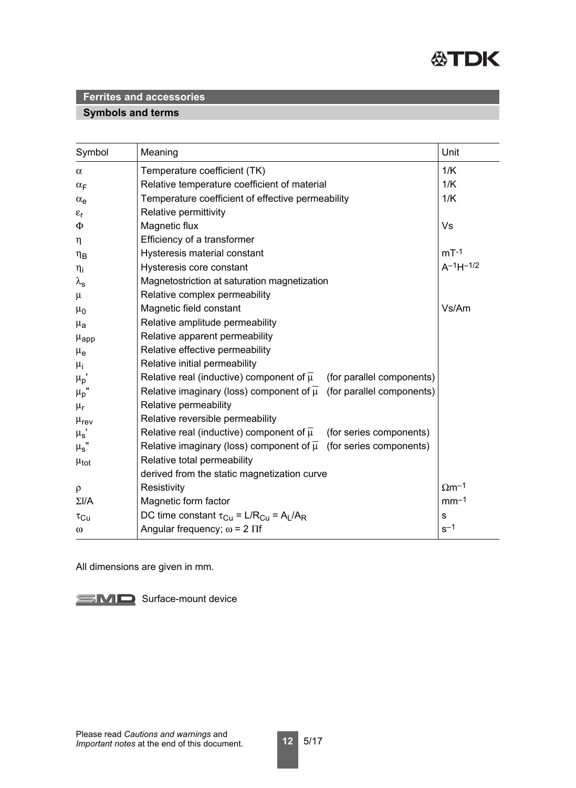

## **Symbols and terms**

| Symbol                | Meaning                                                                              | Unit                     |
|-----------------------|--------------------------------------------------------------------------------------|--------------------------|
| $\alpha$              | Temperature coefficient (TK)                                                         | 1/K                      |
| $\alpha_F$            | Relative temperature coefficient of material                                         | 1/K                      |
| $\alpha_e$            | Temperature coefficient of effective permeability                                    | 1/K                      |
| $\varepsilon_{\rm r}$ | Relative permittivity                                                                |                          |
| $\Phi$                | Magnetic flux                                                                        | Vs                       |
| $\eta$                | Efficiency of a transformer                                                          |                          |
| $\eta_B$              | Hysteresis material constant                                                         | $mT-1$                   |
| $\eta_i$              | Hysteresis core constant                                                             | $A^{-1}H^{-1/2}$         |
| $\lambda_{\text{s}}$  | Magnetostriction at saturation magnetization                                         |                          |
| $\mu$                 | Relative complex permeability                                                        |                          |
| $\mu_0$               | Magnetic field constant                                                              | Vs/Am                    |
| $\mu_{\mathbf{a}}$    | Relative amplitude permeability                                                      |                          |
| $\mu_{\rm app}$       | Relative apparent permeability                                                       |                          |
| $\mu_{\rm e}$         | Relative effective permeability                                                      |                          |
| $\mu_{i}$             | Relative initial permeability                                                        |                          |
| $\mu_p$ '             | Relative real (inductive) component of $\overline{\mu}$<br>(for parallel components) |                          |
| $\mu_p$ '             | Relative imaginary (loss) component of $\overline{\mu}$ (for parallel components)    |                          |
| $\mu_r$               | Relative permeability                                                                |                          |
| $\mu_{\text{rev}}$    | Relative reversible permeability                                                     |                          |
| $\mu_s$ '             | Relative real (inductive) component of $\overline{\mu}$<br>(for series components)   |                          |
| $\mu_{\text{s}}$ "    | Relative imaginary (loss) component of $\overline{\mu}$ (for series components)      |                          |
| $\mu_{\text{tot}}$    | Relative total permeability                                                          |                          |
|                       | derived from the static magnetization curve                                          |                          |
| $\rho$                | Resistivity                                                                          | $\Omega$ m <sup>-1</sup> |
| $\Sigma I/A$          | Magnetic form factor                                                                 | $mm-1$                   |
| $\tau_{\rm Cu}$       | DC time constant $\tau_{Cu} = L/R_{Cu} = A_L/A_R$                                    | $\mathsf{s}$             |
| $\omega$              | Angular frequency; $\omega$ = 2 $\Pi$ f                                              | $s^{-1}$                 |

All dimensions are given in mm.

SMD Surface-mount device